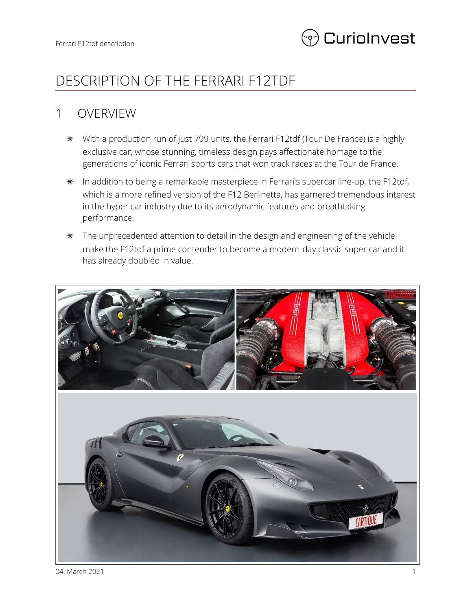

# DESCRIPTION OF THE FERRARI F12TDF

### 1 OVERVIEW

- ✵ With a production run of just 799 units, the Ferrari F12tdf (Tour De France) is a highly exclusive car, whose stunning, timeless design pays affectionate homage to the generations of iconic Ferrari sports cars that won track races at the Tour de France.
- ✵ In addition to being a remarkable masterpiece in Ferrari's supercar line-up, the F12tdf, which is a more refined version of the F12 Berlinetta, has garnered tremendous interest in the hyper car industry due to its aerodynamic features and breathtaking performance.
- ✵ The unprecedented attention to detail in the design and engineering of the vehicle make the F12tdf a prime contender to become a modern-day classic super car and it has already doubled in value.

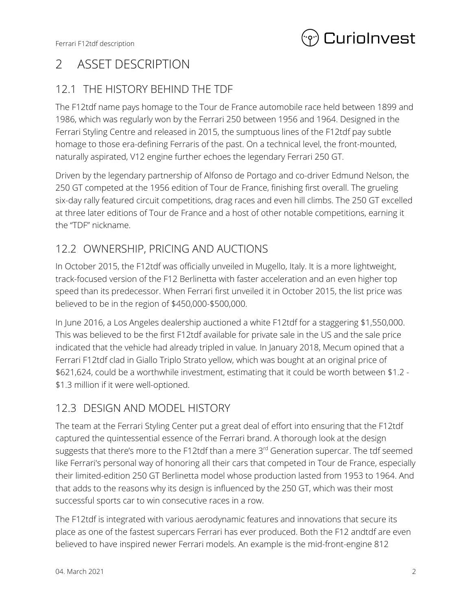

## 2 ASSET DESCRIPTION

### 12.1 THE HISTORY BEHIND THE TDF

The F12tdf name pays homage to the Tour de France automobile race held between 1899 and 1986, which was regularly won by the Ferrari 250 between 1956 and 1964. Designed in the Ferrari Styling Centre and released in 2015, the sumptuous lines of the F12tdf pay subtle homage to those era-defining Ferraris of the past. On a technical level, the front-mounted, naturally aspirated, V12 engine further echoes the legendary Ferrari 250 GT.

Driven by the legendary partnership of Alfonso de Portago and co-driver Edmund Nelson, the 250 GT competed at the 1956 edition of Tour de France, finishing first overall. The grueling six-day rally featured circuit competitions, drag races and even hill climbs. The 250 GT excelled at three later editions of Tour de France and a host of other notable competitions, earning it the "TDF" nickname.

### 12.2 OWNERSHIP, PRICING AND AUCTIONS

In October 2015, the F12tdf was officially unveiled in Mugello, Italy. It is a more lightweight, track-focused version of the F12 Berlinetta with faster acceleration and an even higher top speed than its predecessor. When Ferrari first unveiled it in October 2015, the list price was believed to be in the region of \$450,000-\$500,000.

In June 2016, a Los Angeles dealership auctioned a white F12tdf for a staggering \$1,550,000. This was believed to be the first F12tdf available for private sale in the US and the sale price indicated that the vehicle had already tripled in value. In January 2018, Mecum opined that a Ferrari F12tdf clad in Giallo Triplo Strato yellow, which was bought at an original price of \$621,624, could be a worthwhile investment, estimating that it could be worth between \$1.2 - \$1.3 million if it were well-optioned.

### 12.3 DESIGN AND MODEL HISTORY

The team at the Ferrari Styling Center put a great deal of effort into ensuring that the F12tdf captured the quintessential essence of the Ferrari brand. A thorough look at the design suggests that there's more to the F12tdf than a mere 3<sup>rd</sup> Generation supercar. The tdf seemed like Ferrari's personal way of honoring all their cars that competed in Tour de France, especially their limited-edition 250 GT Berlinetta model whose production lasted from 1953 to 1964. And that adds to the reasons why its design is influenced by the 250 GT, which was their most successful sports car to win consecutive races in a row.

The F12tdf is integrated with various aerodynamic features and innovations that secure its place as one of the fastest supercars Ferrari has ever produced. Both the F12 andtdf are even believed to have inspired newer Ferrari models. An example is the mid-front-engine 812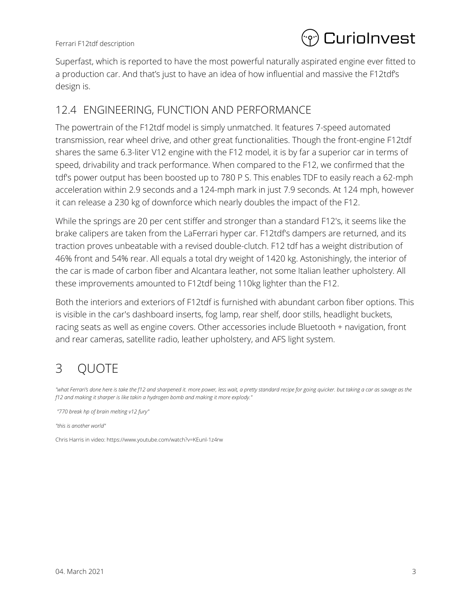

Superfast, which is reported to have the most powerful naturally aspirated engine ever fitted to a production car. And that's just to have an idea of how influential and massive the F12tdf's design is.

#### 12.4 ENGINEERING, FUNCTION AND PERFORMANCE

The powertrain of the F12tdf model is simply unmatched. It features 7-speed automated transmission, rear wheel drive, and other great functionalities. Though the front-engine F12tdf shares the same 6.3-liter V12 engine with the F12 model, it is by far a superior car in terms of speed, drivability and track performance. When compared to the F12, we confirmed that the tdf's power output has been boosted up to 780 P S. This enables TDF to easily reach a 62-mph acceleration within 2.9 seconds and a 124-mph mark in just 7.9 seconds. At 124 mph, however it can release a 230 kg of downforce which nearly doubles the impact of the F12.

While the springs are 20 per cent stiffer and stronger than a standard F12's, it seems like the brake calipers are taken from the LaFerrari hyper car. F12tdf's dampers are returned, and its traction proves unbeatable with a revised double-clutch. F12 tdf has a weight distribution of 46% front and 54% rear. All equals a total dry weight of 1420 kg. Astonishingly, the interior of the car is made of carbon fiber and Alcantara leather, not some Italian leather upholstery. All these improvements amounted to F12tdf being 110kg lighter than the F12.

Both the interiors and exteriors of F12tdf is furnished with abundant carbon fiber options. This is visible in the car's dashboard inserts, fog lamp, rear shelf, door stills, headlight buckets, racing seats as well as engine covers. Other accessories include Bluetooth + navigation, front and rear cameras, satellite radio, leather upholstery, and AFS light system.

# 3 QUOTE

"what Ferrari's done here is take the f12 and sharpened it. more power, less wait, a pretty standard recipe for going quicker. but taking a car as savage as the *f12 and making it sharper is like takin a hydrogen bomb and making it more explody."*

*"770 break hp of brain melting v12 fury"*

*"this is another world"*

Chris Harris in video: https://www.youtube.com/watch?v=KEunl-1z4rw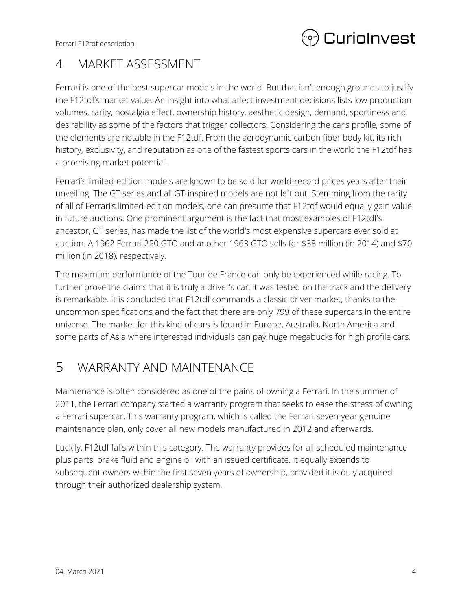Ferrari F12tdf description



## 4 MARKET ASSESSMENT

Ferrari is one of the best supercar models in the world. But that isn't enough grounds to justify the F12tdf's market value. An insight into what affect investment decisions lists low production volumes, rarity, nostalgia effect, ownership history, aesthetic design, demand, sportiness and desirability as some of the factors that trigger collectors. Considering the car's profile, some of the elements are notable in the F12tdf. From the aerodynamic carbon fiber body kit, its rich history, exclusivity, and reputation as one of the fastest sports cars in the world the F12tdf has a promising market potential.

Ferrari's limited-edition models are known to be sold for world-record prices years after their unveiling. The GT series and all GT-inspired models are not left out. Stemming from the rarity of all of Ferrari's limited-edition models, one can presume that F12tdf would equally gain value in future auctions. One prominent argument is the fact that most examples of F12tdf's ancestor, GT series, has made the list of the world's most expensive supercars ever sold at auction. A 1962 Ferrari 250 GTO and another 1963 GTO sells for \$38 million (in 2014) and \$70 million (in 2018), respectively.

The maximum performance of the Tour de France can only be experienced while racing. To further prove the claims that it is truly a driver's car, it was tested on the track and the delivery is remarkable. It is concluded that F12tdf commands a classic driver market, thanks to the uncommon specifications and the fact that there are only 799 of these supercars in the entire universe. The market for this kind of cars is found in Europe, Australia, North America and some parts of Asia where interested individuals can pay huge megabucks for high profile cars.

## 5 WARRANTY AND MAINTENANCE

Maintenance is often considered as one of the pains of owning a Ferrari. In the summer of 2011, the Ferrari company started a warranty program that seeks to ease the stress of owning a Ferrari supercar. This warranty program, which is called the Ferrari seven-year genuine maintenance plan, only cover all new models manufactured in 2012 and afterwards.

Luckily, F12tdf falls within this category. The warranty provides for all scheduled maintenance plus parts, brake fluid and engine oil with an issued certificate. It equally extends to subsequent owners within the first seven years of ownership, provided it is duly acquired through their authorized dealership system.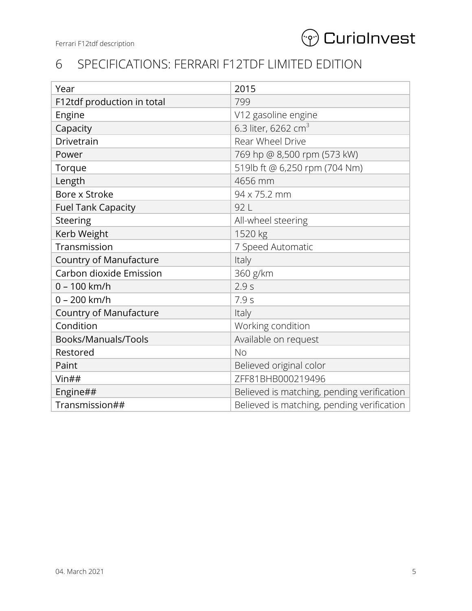

## 6 SPECIFICATIONS: FERRARI F12TDF LIMITED EDITION

| Year                          | 2015                                       |
|-------------------------------|--------------------------------------------|
| F12tdf production in total    | 799                                        |
| Engine                        | V12 gasoline engine                        |
| Capacity                      | 6.3 liter, 6262 cm <sup>3</sup>            |
| Drivetrain                    | Rear Wheel Drive                           |
| Power                         | 769 hp @ 8,500 rpm (573 kW)                |
| Torque                        | 519lb ft @ 6,250 rpm (704 Nm)              |
| Length                        | 4656 mm                                    |
| Bore x Stroke                 | 94 x 75.2 mm                               |
| <b>Fuel Tank Capacity</b>     | 92 L                                       |
| Steering                      | All-wheel steering                         |
| Kerb Weight                   | 1520 kg                                    |
| Transmission                  | 7 Speed Automatic                          |
| <b>Country of Manufacture</b> | Italy                                      |
| Carbon dioxide Emission       | 360 g/km                                   |
| $0 - 100$ km/h                | 2.9s                                       |
| $0 - 200$ km/h                | 7.9s                                       |
| <b>Country of Manufacture</b> | Italy                                      |
| Condition                     | Working condition                          |
| Books/Manuals/Tools           | Available on request                       |
| Restored                      | <b>No</b>                                  |
| Paint                         | Believed original color                    |
| $V$ in##                      | ZFF81BHB000219496                          |
| Engine##                      | Believed is matching, pending verification |
| Transmission##                | Believed is matching, pending verification |